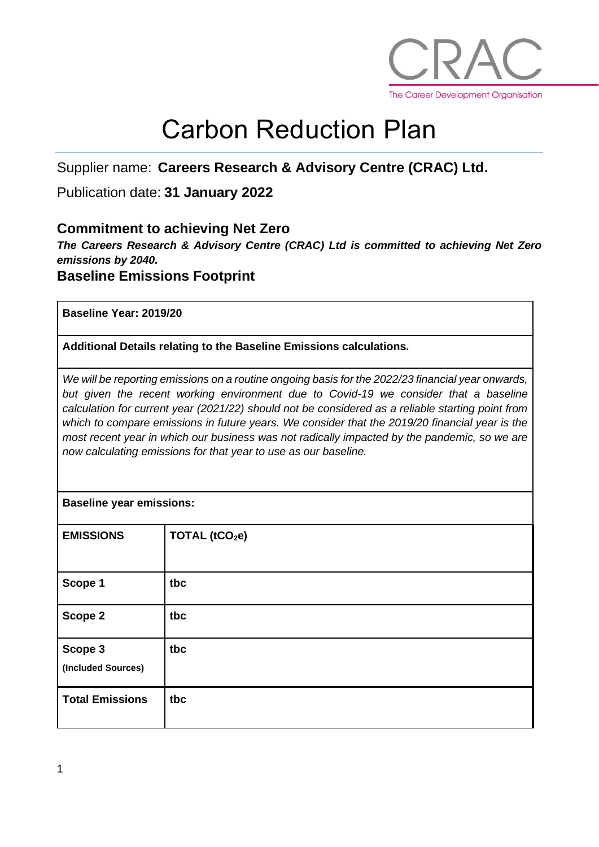

# Carbon Reduction Plan

# Supplier name: **Careers Research & Advisory Centre (CRAC) Ltd.**

### Publication date: **31 January 2022**

#### **Commitment to achieving Net Zero**

*The Careers Research & Advisory Centre (CRAC) Ltd is committed to achieving Net Zero emissions by 2040.* 

**Baseline Emissions Footprint**

**Baseline Year: 2019/20**

**Additional Details relating to the Baseline Emissions calculations.** 

*We will be reporting emissions on a routine ongoing basis for the 2022/23 financial year onwards,*  but given the recent working environment due to Covid-19 we consider that a baseline *calculation for current year (2021/22) should not be considered as a reliable starting point from which to compare emissions in future years. We consider that the 2019/20 financial year is the most recent year in which our business was not radically impacted by the pandemic, so we are now calculating emissions for that year to use as our baseline.*

#### **Baseline year emissions:**

| <b>EMISSIONS</b>              | TOTAL (tCO <sub>2</sub> e) |
|-------------------------------|----------------------------|
| Scope 1                       | tbc                        |
| Scope 2                       | tbc                        |
| Scope 3<br>(Included Sources) | tbc                        |
| <b>Total Emissions</b>        | tbc                        |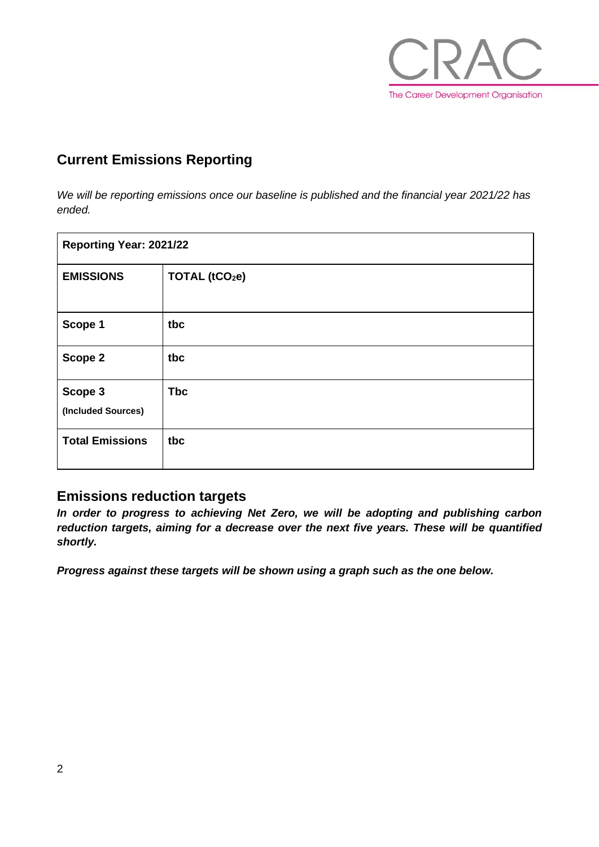

# **Current Emissions Reporting**

*We will be reporting emissions once our baseline is published and the financial year 2021/22 has ended.*

| Reporting Year: 2021/22       |                            |  |
|-------------------------------|----------------------------|--|
| <b>EMISSIONS</b>              | TOTAL (tCO <sub>2</sub> e) |  |
| Scope 1                       | tbc                        |  |
| Scope 2                       | tbc                        |  |
| Scope 3<br>(Included Sources) | <b>Tbc</b>                 |  |
| <b>Total Emissions</b>        | tbc                        |  |

#### **Emissions reduction targets**

*In order to progress to achieving Net Zero, we will be adopting and publishing carbon reduction targets, aiming for a decrease over the next five years. These will be quantified shortly.*

*Progress against these targets will be shown using a graph such as the one below.*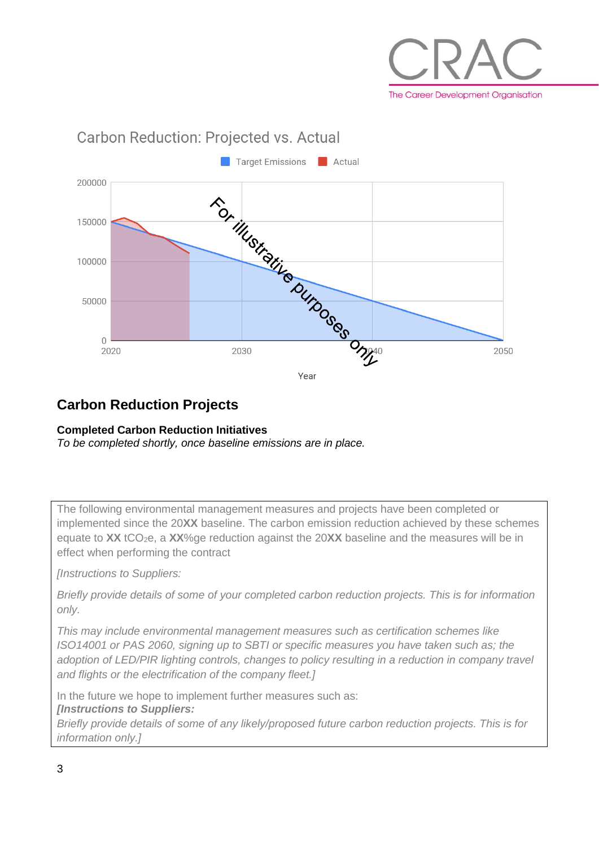

# Target Emissions Actual 200000 TO SITUSITING DUTOOS ONNE 150000 100000 50000  $\bigcap$ 2020 2050 Year

# **Carbon Reduction Projects**

#### **Completed Carbon Reduction Initiatives**

*To be completed shortly, once baseline emissions are in place.*

**Carbon Reduction: Projected vs. Actual** 

The following environmental management measures and projects have been completed or implemented since the 20**XX** baseline. The carbon emission reduction achieved by these schemes equate to XX tCO<sub>2</sub>e, a XX%ge reduction against the 20XX baseline and the measures will be in effect when performing the contract

*[Instructions to Suppliers:*

*Briefly provide details of some of your completed carbon reduction projects. This is for information only.* 

*This may include environmental management measures such as certification schemes like ISO14001 or PAS 2060, signing up to SBTI or specific measures you have taken such as; the adoption of LED/PIR lighting controls, changes to policy resulting in a reduction in company travel and flights or the electrification of the company fleet.]*

In the future we hope to implement further measures such as: *[Instructions to Suppliers:*

*Briefly provide details of some of any likely/proposed future carbon reduction projects. This is for information only.]*